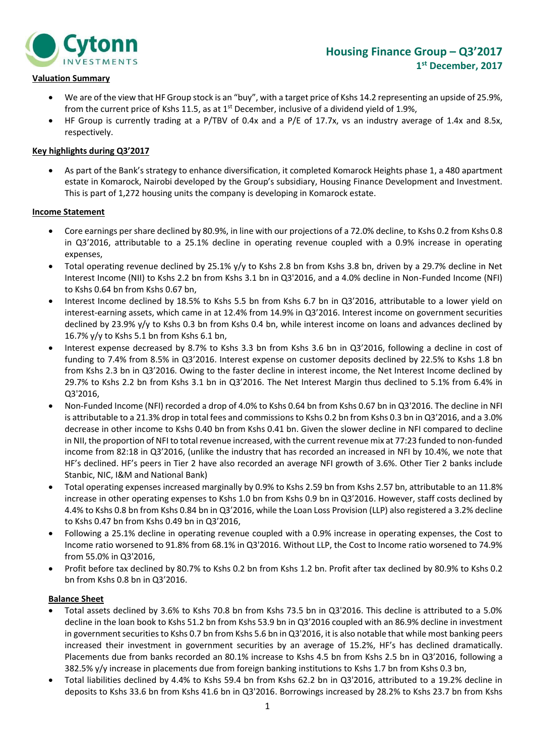

## **Valuation Summary**

- We are of the view that HF Group stock is an "buy", with a target price of Kshs 14.2 representing an upside of 25.9%, from the current price of Kshs 11.5, as at 1<sup>st</sup> December, inclusive of a dividend yield of 1.9%,
- HF Group is currently trading at a P/TBV of 0.4x and a P/E of 17.7x, vs an industry average of 1.4x and 8.5x, respectively.

## **Key highlights during Q3'2017**

 As part of the Bank's strategy to enhance diversification, it completed Komarock Heights phase 1, a 480 apartment estate in Komarock, Nairobi developed by the Group's subsidiary, Housing Finance Development and Investment. This is part of 1,272 housing units the company is developing in Komarock estate.

### **Income Statement**

- Core earnings per share declined by 80.9%, in line with our projections of a 72.0% decline, to Kshs 0.2 from Kshs 0.8 in Q3'2016, attributable to a 25.1% decline in operating revenue coupled with a 0.9% increase in operating expenses,
- Total operating revenue declined by 25.1% y/y to Kshs 2.8 bn from Kshs 3.8 bn, driven by a 29.7% decline in Net Interest Income (NII) to Kshs 2.2 bn from Kshs 3.1 bn in Q3'2016, and a 4.0% decline in Non-Funded Income (NFI) to Kshs 0.64 bn from Kshs 0.67 bn,
- Interest Income declined by 18.5% to Kshs 5.5 bn from Kshs 6.7 bn in Q3'2016, attributable to a lower yield on interest-earning assets, which came in at 12.4% from 14.9% in Q3'2016. Interest income on government securities declined by 23.9% y/y to Kshs 0.3 bn from Kshs 0.4 bn, while interest income on loans and advances declined by 16.7% y/y to Kshs 5.1 bn from Kshs 6.1 bn,
- Interest expense decreased by 8.7% to Kshs 3.3 bn from Kshs 3.6 bn in Q3'2016, following a decline in cost of funding to 7.4% from 8.5% in Q3'2016. Interest expense on customer deposits declined by 22.5% to Kshs 1.8 bn from Kshs 2.3 bn in Q3'2016. Owing to the faster decline in interest income, the Net Interest Income declined by 29.7% to Kshs 2.2 bn from Kshs 3.1 bn in Q3'2016. The Net Interest Margin thus declined to 5.1% from 6.4% in Q3'2016,
- Non-Funded Income (NFI) recorded a drop of 4.0% to Kshs 0.64 bn from Kshs 0.67 bn in Q3'2016. The decline in NFI is attributable to a 21.3% drop in total fees and commissions to Kshs 0.2 bn from Kshs 0.3 bn in Q3'2016, and a 3.0% decrease in other income to Kshs 0.40 bn from Kshs 0.41 bn. Given the slower decline in NFI compared to decline in NII, the proportion of NFI to total revenue increased, with the current revenue mix at 77:23 funded to non-funded income from 82:18 in Q3'2016, (unlike the industry that has recorded an increased in NFI by 10.4%, we note that HF's declined. HF's peers in Tier 2 have also recorded an average NFI growth of 3.6%. Other Tier 2 banks include Stanbic, NIC, I&M and National Bank)
- Total operating expenses increased marginally by 0.9% to Kshs 2.59 bn from Kshs 2.57 bn, attributable to an 11.8% increase in other operating expenses to Kshs 1.0 bn from Kshs 0.9 bn in Q3'2016. However, staff costs declined by 4.4% to Kshs 0.8 bn from Kshs 0.84 bn in Q3'2016, while the Loan Loss Provision (LLP) also registered a 3.2% decline to Kshs 0.47 bn from Kshs 0.49 bn in Q3'2016,
- Following a 25.1% decline in operating revenue coupled with a 0.9% increase in operating expenses, the Cost to Income ratio worsened to 91.8% from 68.1% in Q3'2016. Without LLP, the Cost to Income ratio worsened to 74.9% from 55.0% in Q3'2016,
- Profit before tax declined by 80.7% to Kshs 0.2 bn from Kshs 1.2 bn. Profit after tax declined by 80.9% to Kshs 0.2 bn from Kshs 0.8 bn in Q3'2016.

### **Balance Sheet**

- Total assets declined by 3.6% to Kshs 70.8 bn from Kshs 73.5 bn in Q3'2016. This decline is attributed to a 5.0% decline in the loan book to Kshs 51.2 bn from Kshs 53.9 bn in Q3'2016 coupled with an 86.9% decline in investment in government securities to Kshs 0.7 bn from Kshs 5.6 bn in Q3'2016, it is also notable that while most banking peers increased their investment in government securities by an average of 15.2%, HF's has declined dramatically. Placements due from banks recorded an 80.1% increase to Kshs 4.5 bn from Kshs 2.5 bn in Q3'2016, following a 382.5% y/y increase in placements due from foreign banking institutions to Kshs 1.7 bn from Kshs 0.3 bn,
- Total liabilities declined by 4.4% to Kshs 59.4 bn from Kshs 62.2 bn in Q3'2016, attributed to a 19.2% decline in deposits to Kshs 33.6 bn from Kshs 41.6 bn in Q3'2016. Borrowings increased by 28.2% to Kshs 23.7 bn from Kshs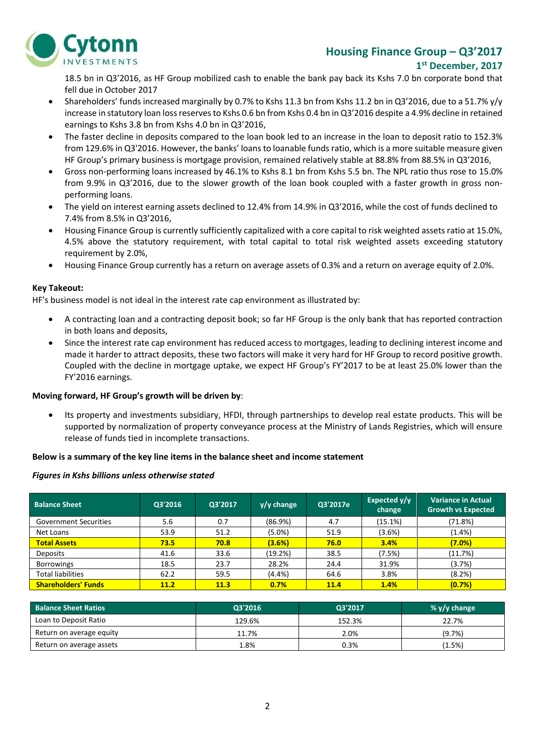

# **Housing Finance Group – Q3'2017 1 st December, 2017**

18.5 bn in Q3'2016, as HF Group mobilized cash to enable the bank pay back its Kshs 7.0 bn corporate bond that fell due in October 2017

- Shareholders' funds increased marginally by 0.7% to Kshs 11.3 bn from Kshs 11.2 bn in Q3'2016, due to a 51.7% y/y increase in statutory loan loss reserves to Kshs 0.6 bn from Kshs 0.4 bn in Q3'2016 despite a 4.9% decline in retained earnings to Kshs 3.8 bn from Kshs 4.0 bn in Q3'2016,
- The faster decline in deposits compared to the loan book led to an increase in the loan to deposit ratio to 152.3% from 129.6% in Q3'2016. However, the banks' loansto loanable fundsratio, which is a more suitable measure given HF Group's primary business is mortgage provision, remained relatively stable at 88.8% from 88.5% in Q3'2016,
- Gross non-performing loans increased by 46.1% to Kshs 8.1 bn from Kshs 5.5 bn. The NPL ratio thus rose to 15.0% from 9.9% in Q3'2016, due to the slower growth of the loan book coupled with a faster growth in gross nonperforming loans.
- The yield on interest earning assets declined to 12.4% from 14.9% in Q3'2016, while the cost of funds declined to 7.4% from 8.5% in Q3'2016,
- Housing Finance Group is currently sufficiently capitalized with a core capital to risk weighted assets ratio at 15.0%, 4.5% above the statutory requirement, with total capital to total risk weighted assets exceeding statutory requirement by 2.0%,
- Housing Finance Group currently has a return on average assets of 0.3% and a return on average equity of 2.0%.

## **Key Takeout:**

HF's business model is not ideal in the interest rate cap environment as illustrated by:

- A contracting loan and a contracting deposit book; so far HF Group is the only bank that has reported contraction in both loans and deposits,
- Since the interest rate cap environment has reduced access to mortgages, leading to declining interest income and made it harder to attract deposits, these two factors will make it very hard for HF Group to record positive growth. Coupled with the decline in mortgage uptake, we expect HF Group's FY'2017 to be at least 25.0% lower than the FY'2016 earnings.

### **Moving forward, HF Group's growth will be driven by**:

 Its property and investments subsidiary, HFDI, through partnerships to develop real estate products. This will be supported by normalization of property conveyance process at the Ministry of Lands Registries, which will ensure release of funds tied in incomplete transactions.

### **Below is a summary of the key line items in the balance sheet and income statement**

### *Figures in Kshs billions unless otherwise stated*

| <b>Balance Sheet</b>         | Q3'2016 | Q3'2017     | $y/y$ change | Q3'2017e | Expected $v/v$<br>change | <b>Variance in Actual</b><br><b>Growth vs Expected</b> |
|------------------------------|---------|-------------|--------------|----------|--------------------------|--------------------------------------------------------|
| <b>Government Securities</b> | 5.6     | 0.7         | (86.9%)      | 4.7      | (15.1%)                  | (71.8%)                                                |
| Net Loans                    | 53.9    | 51.2        | $(5.0\%)$    | 51.9     | (3.6%)                   | $(1.4\%)$                                              |
| <b>Total Assets</b>          | 73.5    | 70.8        | (3.6%)       | 76.0     | 3.4%                     | (7.0%)                                                 |
| <b>Deposits</b>              | 41.6    | 33.6        | (19.2%)      | 38.5     | (7.5%)                   | (11.7%)                                                |
| <b>Borrowings</b>            | 18.5    | 23.7        | 28.2%        | 24.4     | 31.9%                    | (3.7%)                                                 |
| <b>Total liabilities</b>     | 62.2    | 59.5        | (4.4%)       | 64.6     | 3.8%                     | (8.2%)                                                 |
| <b>Shareholders' Funds</b>   | 11.2    | <b>11.3</b> | 0.7%         | 11.4     | 1.4%                     | (0.7%)                                                 |

| <b>Balance Sheet Ratios</b> | Q3'2016 | Q3'2017 | % $y/y$ change |
|-----------------------------|---------|---------|----------------|
| Loan to Deposit Ratio       | 129.6%  | 152.3%  | 22.7%          |
| Return on average equity    | 11.7%   | 2.0%    | (9.7%)         |
| Return on average assets    | $1.8\%$ | 0.3%    | (1.5%)         |